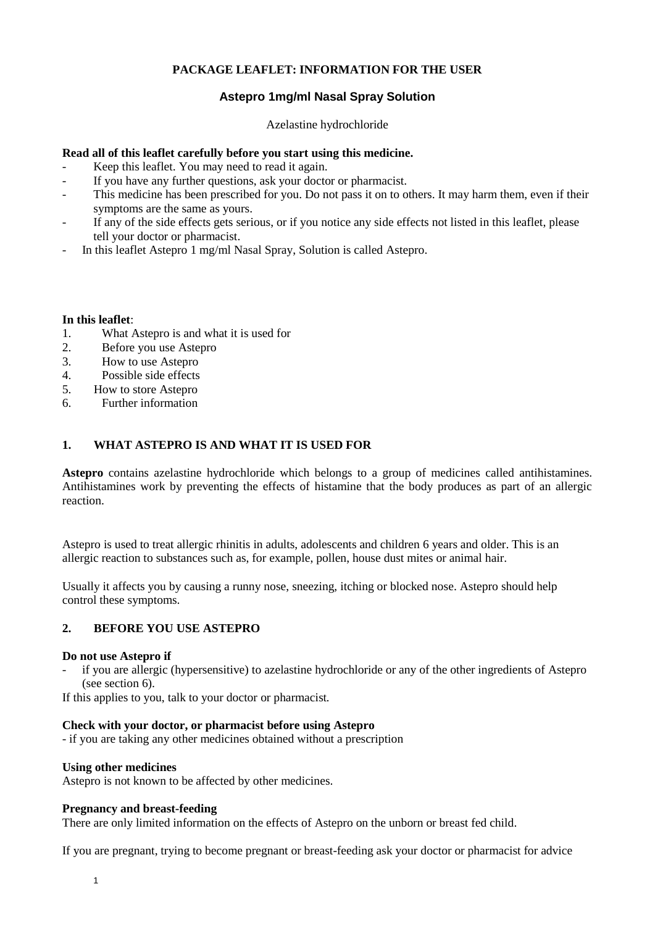# **PACKAGE LEAFLET: INFORMATION FOR THE USER**

# **Astepro 1mg/ml Nasal Spray Solution**

Azelastine hydrochloride

## **Read all of this leaflet carefully before you start using this medicine.**

- Keep this leaflet. You may need to read it again.
- If you have any further questions, ask your doctor or pharmacist.
- This medicine has been prescribed for you. Do not pass it on to others. It may harm them, even if their symptoms are the same as yours.
- If any of the side effects gets serious, or if you notice any side effects not listed in this leaflet, please tell your doctor or pharmacist.
- In this leaflet Astepro 1 mg/ml Nasal Spray, Solution is called Astepro.

## **In this leaflet**:

- 1. What Astepro is and what it is used for<br>2. Before you use Astepro
- Before you use Astepro
- 3. How to use Astepro
- 4. Possible side effects
- 5. How to store Astepro
- 6. Further information

# **1. WHAT ASTEPRO IS AND WHAT IT IS USED FOR**

**Astepro** contains azelastine hydrochloride which belongs to a group of medicines called antihistamines. Antihistamines work by preventing the effects of histamine that the body produces as part of an allergic reaction.

Astepro is used to treat allergic rhinitis in adults, adolescents and children 6 years and older. This is an allergic reaction to substances such as, for example, pollen, house dust mites or animal hair.

Usually it affects you by causing a runny nose, sneezing, itching or blocked nose. Astepro should help control these symptoms.

# **2. BEFORE YOU USE ASTEPRO**

#### **Do not use Astepro if**

- if you are allergic (hypersensitive) to azelastine hydrochloride or any of the other ingredients of Astepro (see section 6).

If this applies to you, talk to your doctor or pharmacist*.*

#### **Check with your doctor, or pharmacist before using Astepro**

- if you are taking any other medicines obtained without a prescription

## **Using other medicines**

Astepro is not known to be affected by other medicines.

#### **Pregnancy and breast-feeding**

There are only limited information on the effects of Astepro on the unborn or breast fed child.

If you are pregnant, trying to become pregnant or breast-feeding ask your doctor or pharmacist for advice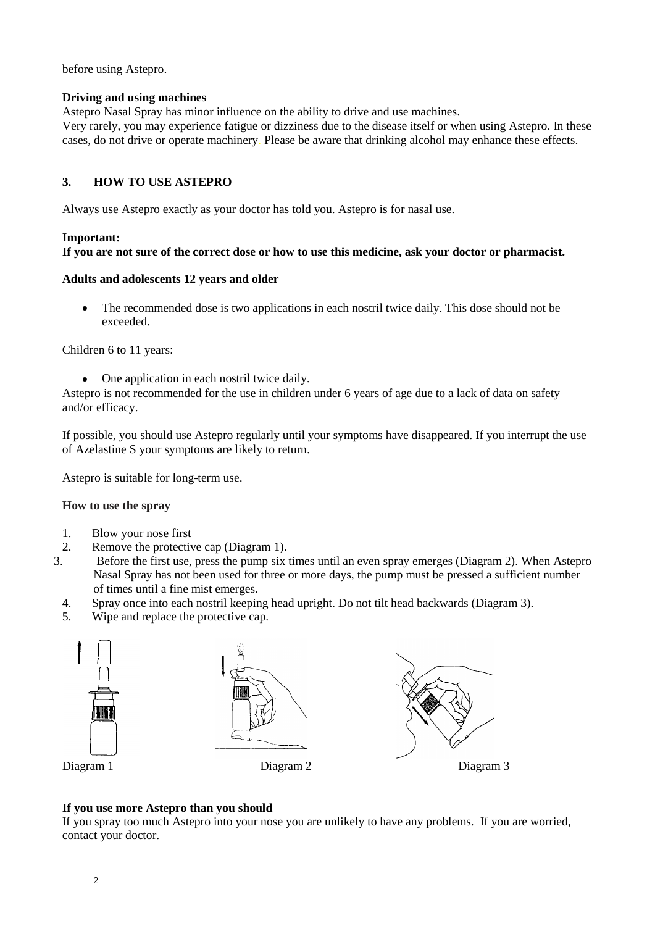before using Astepro.

## **Driving and using machines**

Astepro Nasal Spray has minor influence on the ability to drive and use machines.

Very rarely, you may experience fatigue or dizziness due to the disease itself or when using Astepro. In these cases, do not drive or operate machinery. Please be aware that drinking alcohol may enhance these effects.

# **3. HOW TO USE ASTEPRO**

Always use Astepro exactly as your doctor has told you. Astepro is for nasal use.

## **Important:**

# **If you are not sure of the correct dose or how to use this medicine, ask your doctor or pharmacist.**

## **Adults and adolescents 12 years and older**

The recommended dose is two applications in each nostril twice daily. This dose should not be  $\bullet$ exceeded.

Children 6 to 11 years:

One application in each nostril twice daily.  $\bullet$ 

Astepro is not recommended for the use in children under 6 years of age due to a lack of data on safety and/or efficacy.

If possible, you should use Astepro regularly until your symptoms have disappeared. If you interrupt the use of Azelastine S your symptoms are likely to return.

Astepro is suitable for long-term use.

#### **How to use the spray**

- 1. Blow your nose first<br>2. Remove the protective
- 2. Remove the protective cap (Diagram 1).<br>3. Before the first use, press the pump six
- 3. Before the first use, press the pump six times until an even spray emerges (Diagram 2). When Astepro Nasal Spray has not been used for three or more days, the pump must be pressed a sufficient number of times until a fine mist emerges.
- 4. Spray once into each nostril keeping head upright. Do not tilt head backwards (Diagram 3).
- 5. Wipe and replace the protective cap.



# **If you use more Astepro than you should**

If you spray too much Astepro into your nose you are unlikely to have any problems. If you are worried, contact your doctor.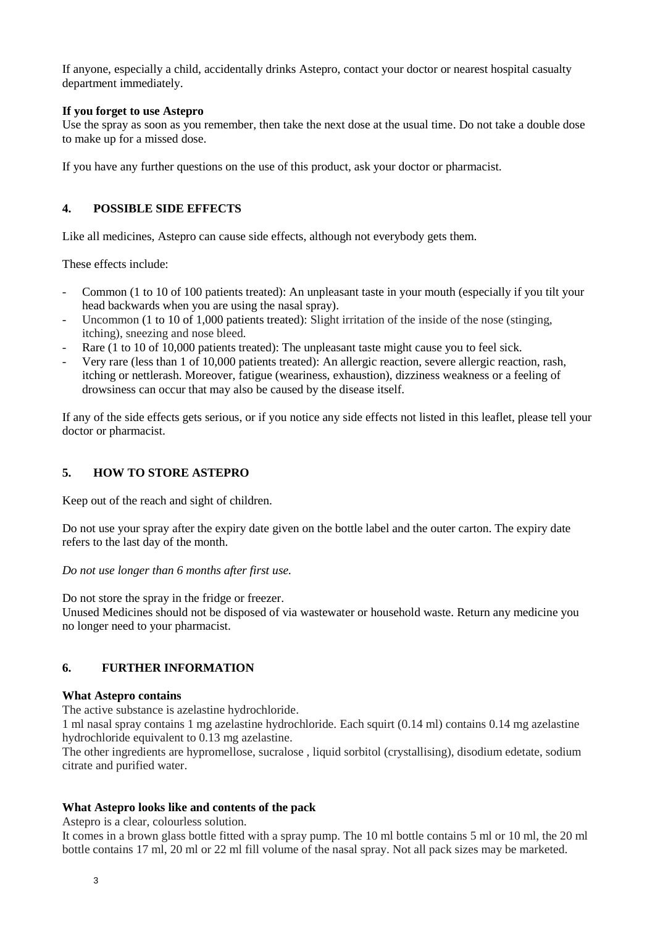If anyone, especially a child, accidentally drinks Astepro, contact your doctor or nearest hospital casualty department immediately.

## **If you forget to use Astepro**

Use the spray as soon as you remember, then take the next dose at the usual time. Do not take a double dose to make up for a missed dose.

If you have any further questions on the use of this product, ask your doctor or pharmacist.

# **4. POSSIBLE SIDE EFFECTS**

Like all medicines, Astepro can cause side effects, although not everybody gets them.

These effects include:

- Common (1 to 10 of 100 patients treated): An unpleasant taste in your mouth (especially if you tilt your head backwards when you are using the nasal spray).
- Uncommon (1 to 10 of 1,000 patients treated): Slight irritation of the inside of the nose (stinging, itching), sneezing and nose bleed.
- Rare (1 to 10 of 10,000 patients treated): The unpleasant taste might cause you to feel sick.
- Very rare (less than 1 of 10,000 patients treated): An allergic reaction, severe allergic reaction, rash, itching or nettlerash. Moreover, fatigue (weariness, exhaustion), dizziness weakness or a feeling of drowsiness can occur that may also be caused by the disease itself.

If any of the side effects gets serious, or if you notice any side effects not listed in this leaflet, please tell your doctor or pharmacist.

# **5. HOW TO STORE ASTEPRO**

Keep out of the reach and sight of children.

Do not use your spray after the expiry date given on the bottle label and the outer carton. The expiry date refers to the last day of the month.

*Do not use longer than 6 months after first use.*

Do not store the spray in the fridge or freezer.

Unused Medicines should not be disposed of via wastewater or household waste. Return any medicine you no longer need to your pharmacist.

# **6. FURTHER INFORMATION**

#### **What Astepro contains**

The active substance is azelastine hydrochloride.

1 ml nasal spray contains 1 mg azelastine hydrochloride. Each squirt (0.14 ml) contains 0.14 mg azelastine hydrochloride equivalent to 0.13 mg azelastine.

The other ingredients are hypromellose, sucralose , liquid sorbitol (crystallising), disodium edetate, sodium citrate and purified water.

#### **What Astepro looks like and contents of the pack**

Astepro is a clear, colourless solution.

It comes in a brown glass bottle fitted with a spray pump. The 10 ml bottle contains 5 ml or 10 ml, the 20 ml bottle contains 17 ml, 20 ml or 22 ml fill volume of the nasal spray. Not all pack sizes may be marketed.